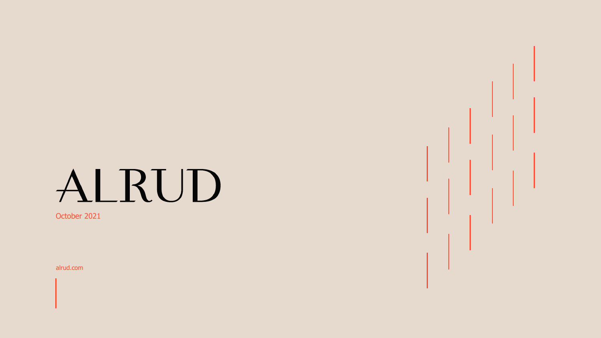# ALRUD

October 2021

alrud.com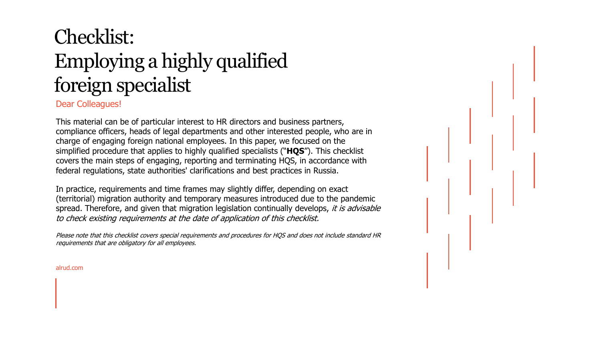# Checklist: Employing a highly qualified foreign specialist

Dear Colleagues!

This material can be of particular interest to HR directors and business partners, compliance officers, heads of legal departments and other interested people, who are in charge of engaging foreign national employees. In this paper, we focused on the simplified procedure that applies to highly qualified specialists ("**HQS**"). This checklist covers the main steps of engaging, reporting and terminating HQS, in accordance with federal regulations, state authorities' clarifications and best practices in Russia.

In practice, requirements and time frames may slightly differ, depending on exact (territorial) migration authority and temporary measures introduced due to the pandemic spread. Therefore, and given that migration legislation continually develops, *it is advisable* to check existing requirements at the date of application of this checklist.

Please note that this checklist covers special requirements and procedures for HQS and does not include standard HR requirements that are obligatory for all employees.

alrud.com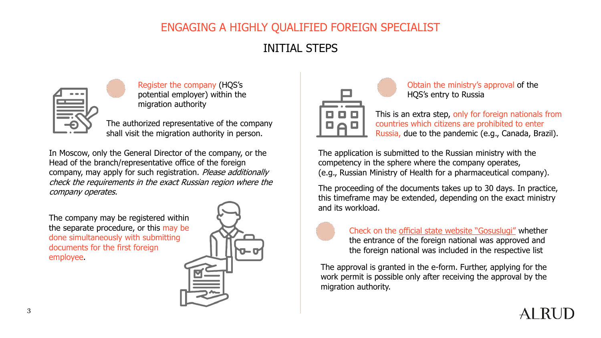### INITIAL STEPS



Register the company (HQS's potential employer) within the migration authority

The authorized representative of the company shall visit the migration authority in person.

In Moscow, only the General Director of the company, or the Head of the branch/representative office of the foreign company, may apply for such registration. Please additionally check the requirements in the exact Russian region where the company operates.

The company may be registered within the separate procedure, or this may be done simultaneously with submitting documents for the first foreign employee.





Obtain the ministry's approval of the HQS's entry to Russia

This is an extra step, only for foreign nationals from countries which citizens are prohibited to enter Russia, due to the pandemic (e.g., Canada, Brazil).

The application is submitted to the Russian ministry with the competency in the sphere where the company operates, (e.g., Russian Ministry of Health for a pharmaceutical company).

The proceeding of the documents takes up to 30 days. In practice, this timeframe may be extended, depending on the exact ministry and its workload.



Check on the [official state website "Gosuslugi"](https://www.gosuslugi.ru/410127/2) whether the entrance of the foreign national was approved and the foreign national was included in the respective list

The approval is granted in the e-form. Further, applying for the work permit is possible only after receiving the approval by the migration authority.

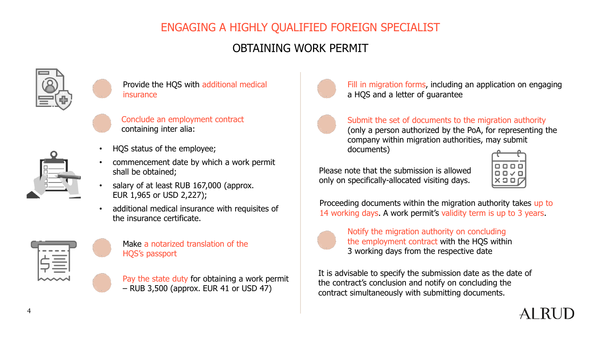## OBTAINING WORK PERMIT



Provide the HQS with additional medical insurance

Conclude an employment contract containing inter alia:



- HQS status of the employee;
- commencement date by which a work permit shall be obtained;
- salary of at least RUB 167,000 (approx. EUR 1,965 or USD 2,227);
- additional medical insurance with requisites of the insurance certificate.



Make a notarized translation of the HQS's passport

Pay the state duty for obtaining a work permit – RUB 3,500 (approx. EUR 41 or USD 47)



Fill in migration forms, including an application on engaging a HQS and a letter of guarantee

#### Submit the set of documents to the migration authority (only a person authorized by the PoA, for representing the

company within migration authorities, may submit documents)

Please note that the submission is allowed only on specifically-allocated visiting days.



Proceeding documents within the migration authority takes up to 14 working days. A work permit's validity term is up to 3 years.



Notify the migration authority on concluding the employment contract with the HQS within 3 working days from the respective date

It is advisable to specify the submission date as the date of the contract's conclusion and notify on concluding the contract simultaneously with submitting documents.

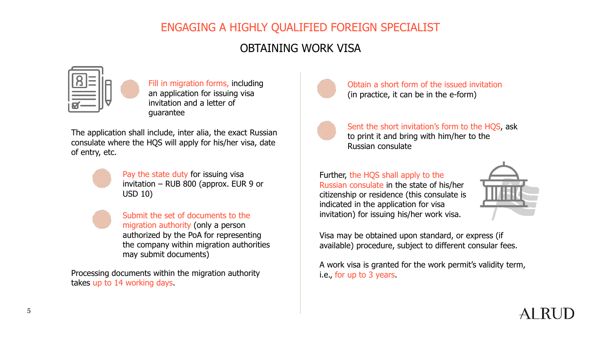#### OBTAINING WORK VISA



Fill in migration forms, including an application for issuing visa invitation and a letter of guarantee

The application shall include, inter alia, the exact Russian consulate where the HQS will apply for his/her visa, date of entry, etc.

Pay the state duty for issuing visa invitation – RUB 800 (approx. EUR 9 or USD 10)

Submit the set of documents to the migration authority (only a person authorized by the PoA for representing the company within migration authorities may submit documents)

Processing documents within the migration authority takes up to 14 working days.



Obtain a short form of the issued invitation (in practice, it can be in the e-form)



Sent the short invitation's form to the HQS, ask to print it and bring with him/her to the Russian consulate

Further, the HQS shall apply to the Russian consulate in the state of his/her citizenship or residence (this consulate is indicated in the application for visa invitation) for issuing his/her work visa.



Visa may be obtained upon standard, or express (if available) procedure, subject to different consular fees.

A work visa is granted for the work permit's validity term, i.e., for up to 3 years.

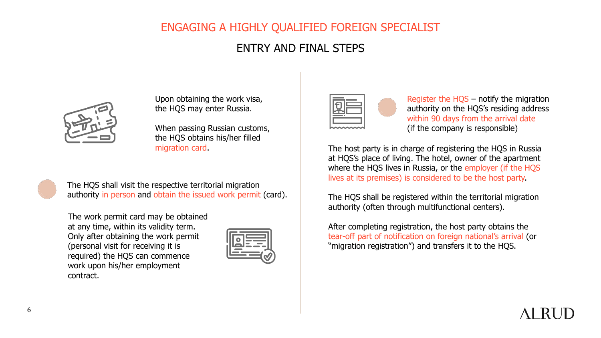#### ENTRY AND FINAL STEPS



Upon obtaining the work visa, the HQS may enter Russia.

When passing Russian customs, the HQS obtains his/her filled migration card.



The HQS shall visit the respective territorial migration authority in person and obtain the issued work permit (card).

The work permit card may be obtained at any time, within its validity term. Only after obtaining the work permit (personal visit for receiving it is required) the HQS can commence work upon his/her employment contract.



|--|

Register the HQS – notify the migration authority on the HQS's residing address within 90 days from the arrival date (if the company is responsible)

The host party is in charge of registering the HQS in Russia at HQS's place of living. The hotel, owner of the apartment where the HQS lives in Russia, or the employer (if the HQS lives at its premises) is considered to be the host party.

The HQS shall be registered within the territorial migration authority (often through multifunctional centers).

After completing registration, the host party obtains the tear-off part of notification on foreign national's arrival (or "migration registration") and transfers it to the HQS.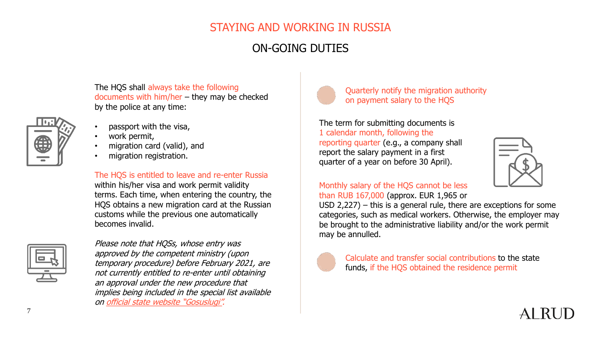#### STAYING AND WORKING IN RUSSIA

#### ON-GOING DUTIES

The HQS shall always take the following documents with him/her – they may be checked by the police at any time:



- passport with the visa,
- work permit,
- migration card (valid), and
- migration registration.

The HQS is entitled to leave and re-enter Russia within his/her visa and work permit validity terms. Each time, when entering the country, the HQS obtains a new migration card at the Russian customs while the previous one automatically becomes invalid.



Please note that HQSs, whose entry was approved by the competent ministry (upon temporary procedure) before February 2021, are not currently entitled to re-enter until obtaining an approval under the new procedure that implies being included in the special list available on [official state website "Gosuslugi"](https://www.gosuslugi.ru/410127/2).



Quarterly notify the migration authority on payment salary to the HQS

The term for submitting documents is 1 calendar month, following the reporting quarter (e.g., a company shall report the salary payment in a first quarter of a year on before 30 April).



#### Monthly salary of the HQS cannot be less than RUB 167,000 (approx. EUR 1,965 or

USD 2,227) – this is a general rule, there are exceptions for some categories, such as medical workers. Otherwise, the employer may be brought to the administrative liability and/or the work permit may be annulled.



Calculate and transfer social contributions to the state funds, if the HQS obtained the residence permit

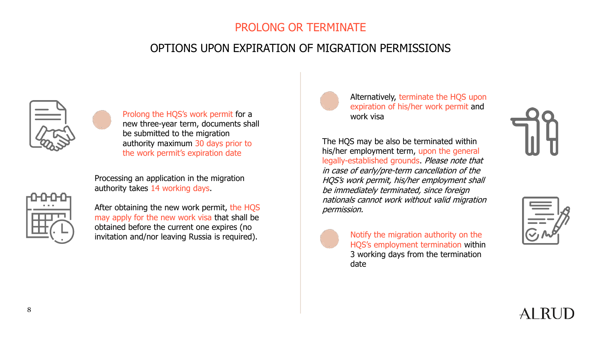#### PROLONG OR TERMINATE

#### OPTIONS UPON EXPIRATION OF MIGRATION PERMISSIONS



Prolong the HQS's work permit for a new three-year term, documents shall be submitted to the migration authority maximum 30 days prior to the work permit's expiration date



After obtaining the new work permit, the HQS may apply for the new work visa that shall be obtained before the current one expires (no invitation and/nor leaving Russia is required).

Processing an application in the migration

authority takes 14 working days.

Alternatively, terminate the HQS upon expiration of his/her work permit and work visa

The HQS may be also be terminated within his/her employment term, upon the general legally-established grounds. Please note that in case of early/pre-term cancellation of the HQS's work permit, his/her employment shall be immediately terminated, since foreign nationals cannot work without valid migration permission.



Notify the migration authority on the HQS's employment termination within 3 working days from the termination date





AI RU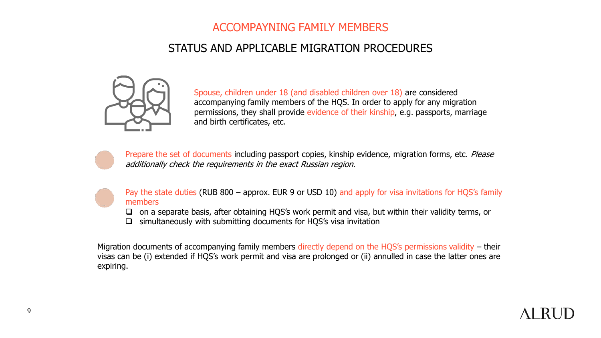#### ACCOMPAYNING FAMILY MEMBERS

#### STATUS AND APPLICABLE MIGRATION PROCEDURES



Spouse, children under 18 (and disabled children over 18) are considered accompanying family members of the HQS. In order to apply for any migration permissions, they shall provide evidence of their kinship, e.g. passports, marriage and birth certificates, etc.



Prepare the set of documents including passport copies, kinship evidence, migration forms, etc. Please additionally check the requirements in the exact Russian region.



Pay the state duties (RUB 800 – approx. EUR 9 or USD 10) and apply for visa invitations for HQS's family members

- ❑ on a separate basis, after obtaining HQS's work permit and visa, but within their validity terms, or
- ❑ simultaneously with submitting documents for HQS's visa invitation

Migration documents of accompanying family members directly depend on the HQS's permissions validity – their visas can be (i) extended if HQS's work permit and visa are prolonged or (ii) annulled in case the latter ones are expiring.